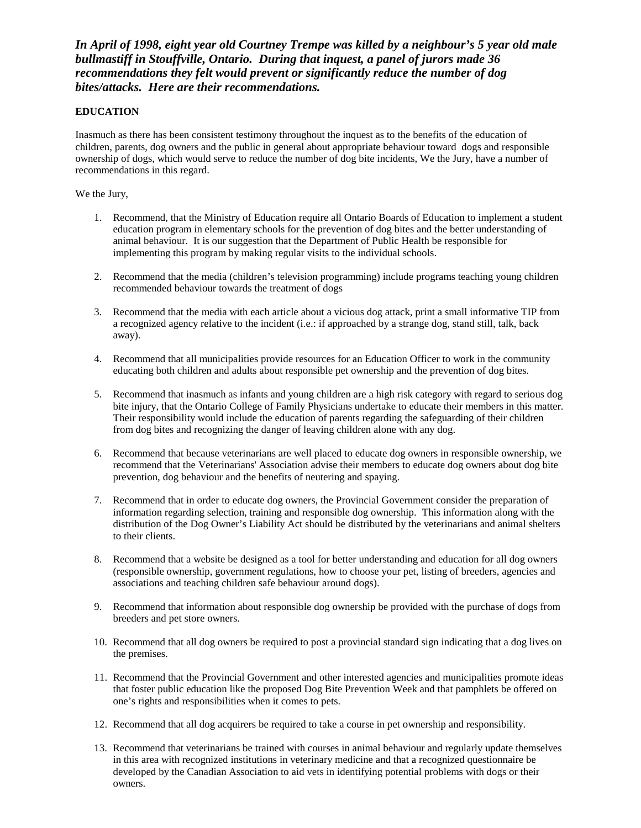*In April of 1998, eight year old Courtney Trempe was killed by a neighbour's 5 year old male bullmastiff in Stouffville, Ontario. During that inquest, a panel of jurors made 36 recommendations they felt would prevent or significantly reduce the number of dog bites/attacks. Here are their recommendations.*

## **EDUCATION**

Inasmuch as there has been consistent testimony throughout the inquest as to the benefits of the education of children, parents, dog owners and the public in general about appropriate behaviour toward dogs and responsible ownership of dogs, which would serve to reduce the number of dog bite incidents, We the Jury, have a number of recommendations in this regard.

We the Jury,

- 1. Recommend, that the Ministry of Education require all Ontario Boards of Education to implement a student education program in elementary schools for the prevention of dog bites and the better understanding of animal behaviour. It is our suggestion that the Department of Public Health be responsible for implementing this program by making regular visits to the individual schools.
- 2. Recommend that the media (children's television programming) include programs teaching young children recommended behaviour towards the treatment of dogs
- 3. Recommend that the media with each article about a vicious dog attack, print a small informative TIP from a recognized agency relative to the incident (i.e.: if approached by a strange dog, stand still, talk, back away).
- 4. Recommend that all municipalities provide resources for an Education Officer to work in the community educating both children and adults about responsible pet ownership and the prevention of dog bites.
- 5. Recommend that inasmuch as infants and young children are a high risk category with regard to serious dog bite injury, that the Ontario College of Family Physicians undertake to educate their members in this matter. Their responsibility would include the education of parents regarding the safeguarding of their children from dog bites and recognizing the danger of leaving children alone with any dog.
- 6. Recommend that because veterinarians are well placed to educate dog owners in responsible ownership, we recommend that the Veterinarians' Association advise their members to educate dog owners about dog bite prevention, dog behaviour and the benefits of neutering and spaying.
- 7. Recommend that in order to educate dog owners, the Provincial Government consider the preparation of information regarding selection, training and responsible dog ownership. This information along with the distribution of the Dog Owner's Liability Act should be distributed by the veterinarians and animal shelters to their clients.
- 8. Recommend that a website be designed as a tool for better understanding and education for all dog owners (responsible ownership, government regulations, how to choose your pet, listing of breeders, agencies and associations and teaching children safe behaviour around dogs).
- 9. Recommend that information about responsible dog ownership be provided with the purchase of dogs from breeders and pet store owners.
- 10. Recommend that all dog owners be required to post a provincial standard sign indicating that a dog lives on the premises.
- 11. Recommend that the Provincial Government and other interested agencies and municipalities promote ideas that foster public education like the proposed Dog Bite Prevention Week and that pamphlets be offered on one's rights and responsibilities when it comes to pets.
- 12. Recommend that all dog acquirers be required to take a course in pet ownership and responsibility.
- 13. Recommend that veterinarians be trained with courses in animal behaviour and regularly update themselves in this area with recognized institutions in veterinary medicine and that a recognized questionnaire be developed by the Canadian Association to aid vets in identifying potential problems with dogs or their owners.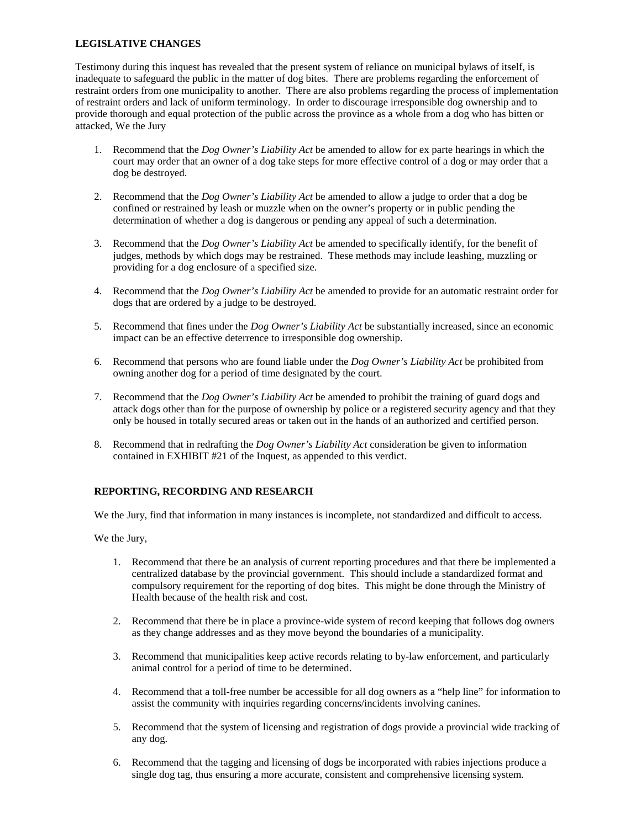### **LEGISLATIVE CHANGES**

Testimony during this inquest has revealed that the present system of reliance on municipal bylaws of itself, is inadequate to safeguard the public in the matter of dog bites. There are problems regarding the enforcement of restraint orders from one municipality to another. There are also problems regarding the process of implementation of restraint orders and lack of uniform terminology. In order to discourage irresponsible dog ownership and to provide thorough and equal protection of the public across the province as a whole from a dog who has bitten or attacked, We the Jury

- 1. Recommend that the *Dog Owner's Liability Act* be amended to allow for ex parte hearings in which the court may order that an owner of a dog take steps for more effective control of a dog or may order that a dog be destroyed.
- 2. Recommend that the *Dog Owner's Liability Act* be amended to allow a judge to order that a dog be confined or restrained by leash or muzzle when on the owner's property or in public pending the determination of whether a dog is dangerous or pending any appeal of such a determination.
- 3. Recommend that the *Dog Owner's Liability Act* be amended to specifically identify, for the benefit of judges, methods by which dogs may be restrained. These methods may include leashing, muzzling or providing for a dog enclosure of a specified size.
- 4. Recommend that the *Dog Owner's Liability Act* be amended to provide for an automatic restraint order for dogs that are ordered by a judge to be destroyed.
- 5. Recommend that fines under the *Dog Owner's Liability Act* be substantially increased, since an economic impact can be an effective deterrence to irresponsible dog ownership.
- 6. Recommend that persons who are found liable under the *Dog Owner's Liability Act* be prohibited from owning another dog for a period of time designated by the court.
- 7. Recommend that the *Dog Owner's Liability Act* be amended to prohibit the training of guard dogs and attack dogs other than for the purpose of ownership by police or a registered security agency and that they only be housed in totally secured areas or taken out in the hands of an authorized and certified person.
- 8. Recommend that in redrafting the *Dog Owner's Liability Act* consideration be given to information contained in EXHIBIT #21 of the Inquest, as appended to this verdict.

# **REPORTING, RECORDING AND RESEARCH**

We the Jury, find that information in many instances is incomplete, not standardized and difficult to access.

We the Jury,

- 1. Recommend that there be an analysis of current reporting procedures and that there be implemented a centralized database by the provincial government. This should include a standardized format and compulsory requirement for the reporting of dog bites. This might be done through the Ministry of Health because of the health risk and cost.
- 2. Recommend that there be in place a province-wide system of record keeping that follows dog owners as they change addresses and as they move beyond the boundaries of a municipality.
- 3. Recommend that municipalities keep active records relating to by-law enforcement, and particularly animal control for a period of time to be determined.
- 4. Recommend that a toll-free number be accessible for all dog owners as a "help line" for information to assist the community with inquiries regarding concerns/incidents involving canines.
- 5. Recommend that the system of licensing and registration of dogs provide a provincial wide tracking of any dog.
- 6. Recommend that the tagging and licensing of dogs be incorporated with rabies injections produce a single dog tag, thus ensuring a more accurate, consistent and comprehensive licensing system.